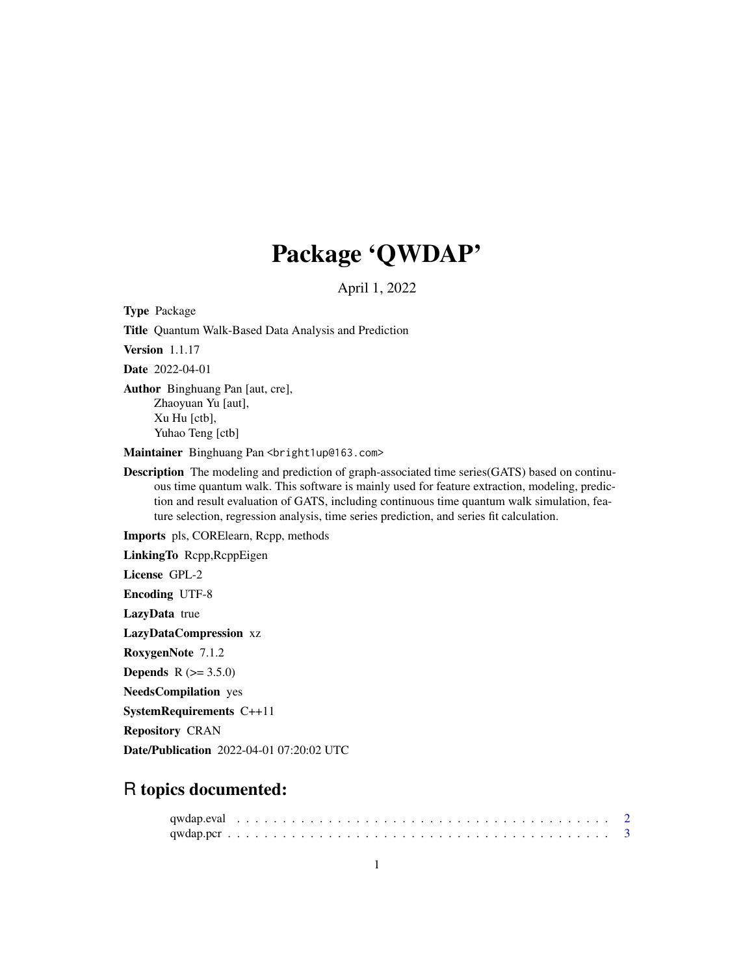## Package 'QWDAP'

April 1, 2022

Type Package

Title Quantum Walk-Based Data Analysis and Prediction

Version 1.1.17

Date 2022-04-01

Author Binghuang Pan [aut, cre], Zhaoyuan Yu [aut], Xu Hu [ctb], Yuhao Teng [ctb]

Maintainer Binghuang Pan <bright1up@163.com>

Description The modeling and prediction of graph-associated time series(GATS) based on continuous time quantum walk. This software is mainly used for feature extraction, modeling, prediction and result evaluation of GATS, including continuous time quantum walk simulation, feature selection, regression analysis, time series prediction, and series fit calculation.

Imports pls, CORElearn, Rcpp, methods

LinkingTo Rcpp,RcppEigen

License GPL-2

Encoding UTF-8

LazyData true

LazyDataCompression xz

RoxygenNote 7.1.2

**Depends**  $R (= 3.5.0)$ 

NeedsCompilation yes

SystemRequirements C++11

Repository CRAN

Date/Publication 2022-04-01 07:20:02 UTC

## R topics documented: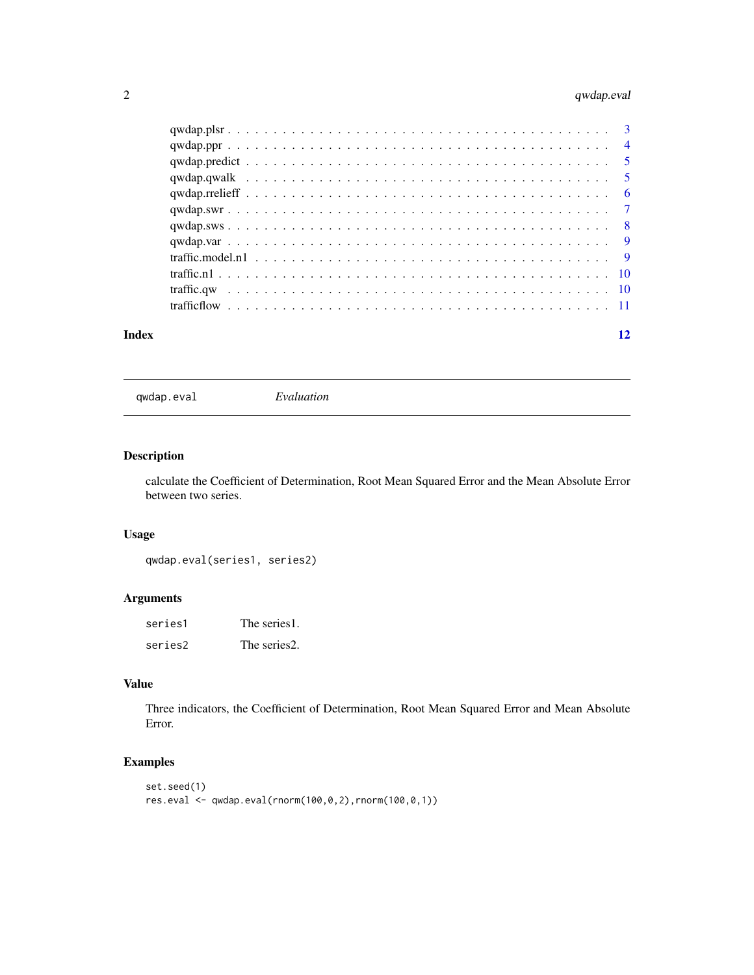### <span id="page-1-0"></span>2 qwdap.eval

| Index |  |  |  |  |  |  |  |  |  |  |  |  |  |  |  |  |  |  | 12 |
|-------|--|--|--|--|--|--|--|--|--|--|--|--|--|--|--|--|--|--|----|

qwdap.eval *Evaluation*

### Description

calculate the Coefficient of Determination, Root Mean Squared Error and the Mean Absolute Error between two series.

#### Usage

qwdap.eval(series1, series2)

#### Arguments

| series1 | The series1. |
|---------|--------------|
| series2 | The series2. |

#### Value

Three indicators, the Coefficient of Determination, Root Mean Squared Error and Mean Absolute Error.

### Examples

```
set.seed(1)
res.eval <- qwdap.eval(rnorm(100,0,2),rnorm(100,0,1))
```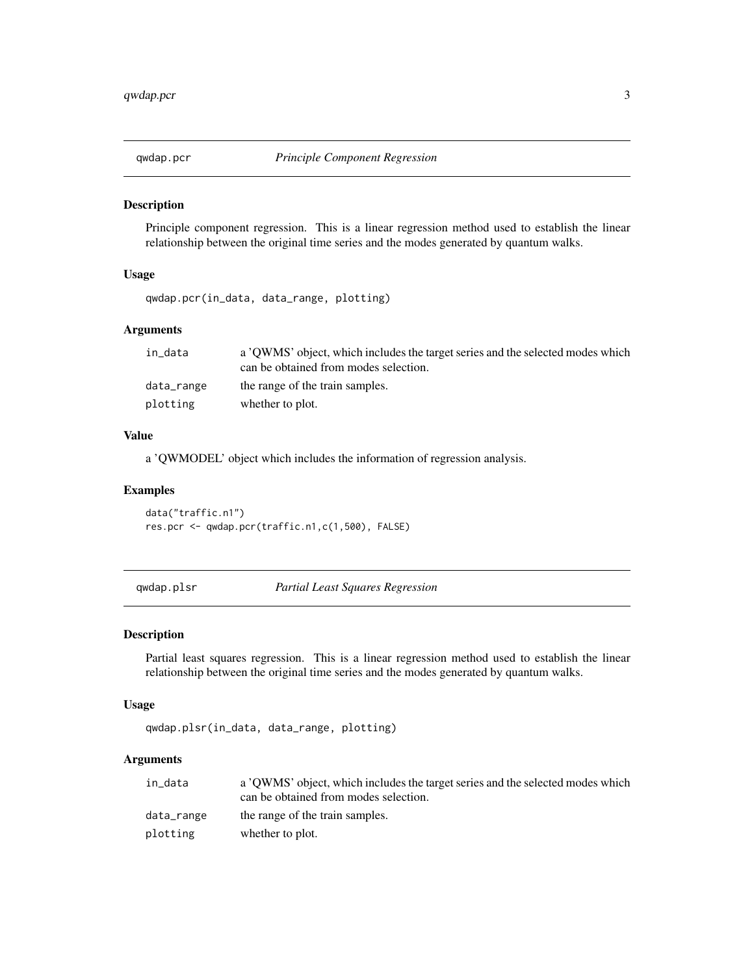<span id="page-2-0"></span>

#### Description

Principle component regression. This is a linear regression method used to establish the linear relationship between the original time series and the modes generated by quantum walks.

#### Usage

```
qwdap.pcr(in_data, data_range, plotting)
```
#### Arguments

| in data    | a 'OWMS' object, which includes the target series and the selected modes which<br>can be obtained from modes selection. |
|------------|-------------------------------------------------------------------------------------------------------------------------|
| data_range | the range of the train samples.                                                                                         |
| plotting   | whether to plot.                                                                                                        |

#### Value

a 'QWMODEL' object which includes the information of regression analysis.

#### Examples

data("traffic.n1") res.pcr <- qwdap.pcr(traffic.n1,c(1,500), FALSE)

qwdap.plsr *Partial Least Squares Regression*

#### Description

Partial least squares regression. This is a linear regression method used to establish the linear relationship between the original time series and the modes generated by quantum walks.

#### Usage

qwdap.plsr(in\_data, data\_range, plotting)

#### Arguments

| in data    | a 'OWMS' object, which includes the target series and the selected modes which<br>can be obtained from modes selection. |
|------------|-------------------------------------------------------------------------------------------------------------------------|
| data_range | the range of the train samples.                                                                                         |
| plotting   | whether to plot.                                                                                                        |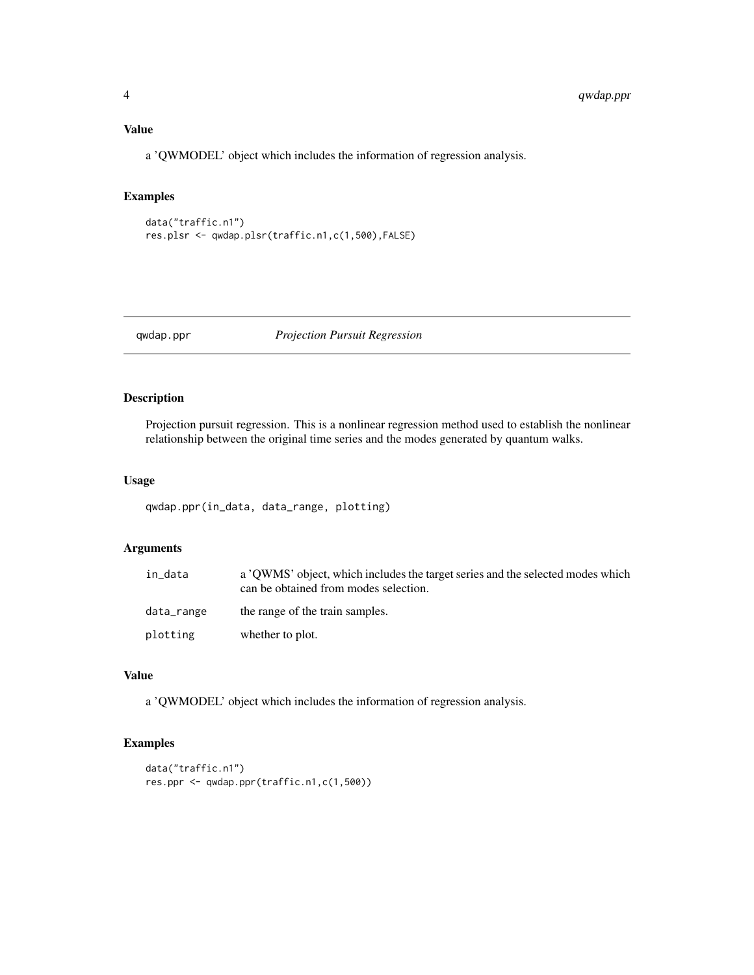#### <span id="page-3-0"></span>Value

a 'QWMODEL' object which includes the information of regression analysis.

### Examples

```
data("traffic.n1")
res.plsr <- qwdap.plsr(traffic.n1,c(1,500),FALSE)
```
qwdap.ppr *Projection Pursuit Regression*

#### Description

Projection pursuit regression. This is a nonlinear regression method used to establish the nonlinear relationship between the original time series and the modes generated by quantum walks.

#### Usage

qwdap.ppr(in\_data, data\_range, plotting)

#### Arguments

| in data    | a 'OWMS' object, which includes the target series and the selected modes which<br>can be obtained from modes selection. |
|------------|-------------------------------------------------------------------------------------------------------------------------|
| data_range | the range of the train samples.                                                                                         |
| plotting   | whether to plot.                                                                                                        |

#### Value

a 'QWMODEL' object which includes the information of regression analysis.

#### Examples

```
data("traffic.n1")
res.ppr <- qwdap.ppr(traffic.n1,c(1,500))
```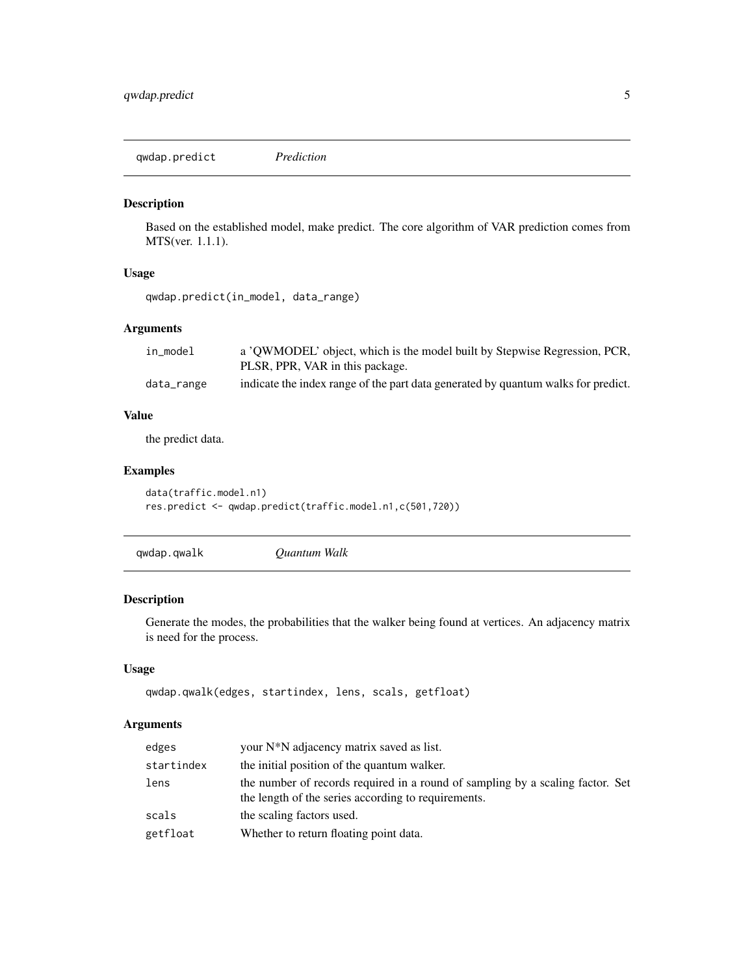<span id="page-4-0"></span>qwdap.predict *Prediction*

#### Description

Based on the established model, make predict. The core algorithm of VAR prediction comes from MTS(ver. 1.1.1).

#### Usage

```
qwdap.predict(in_model, data_range)
```
#### Arguments

| in model   | a 'OWMODEL' object, which is the model built by Stepwise Regression, PCR,<br>PLSR, PPR, VAR in this package. |
|------------|--------------------------------------------------------------------------------------------------------------|
| data_range | indicate the index range of the part data generated by quantum walks for predict.                            |

#### Value

the predict data.

#### Examples

```
data(traffic.model.n1)
res.predict <- qwdap.predict(traffic.model.n1,c(501,720))
```

| qwdap.qwalk | Ouantum Walk |  |
|-------------|--------------|--|
|-------------|--------------|--|

#### Description

Generate the modes, the probabilities that the walker being found at vertices. An adjacency matrix is need for the process.

#### Usage

```
qwdap.qwalk(edges, startindex, lens, scals, getfloat)
```
#### Arguments

| edges      | your N <sup>*</sup> N adjacency matrix saved as list.                                                                                 |
|------------|---------------------------------------------------------------------------------------------------------------------------------------|
| startindex | the initial position of the quantum walker.                                                                                           |
| lens       | the number of records required in a round of sampling by a scaling factor. Set<br>the length of the series according to requirements. |
| scals      | the scaling factors used.                                                                                                             |
| getfloat   | Whether to return floating point data.                                                                                                |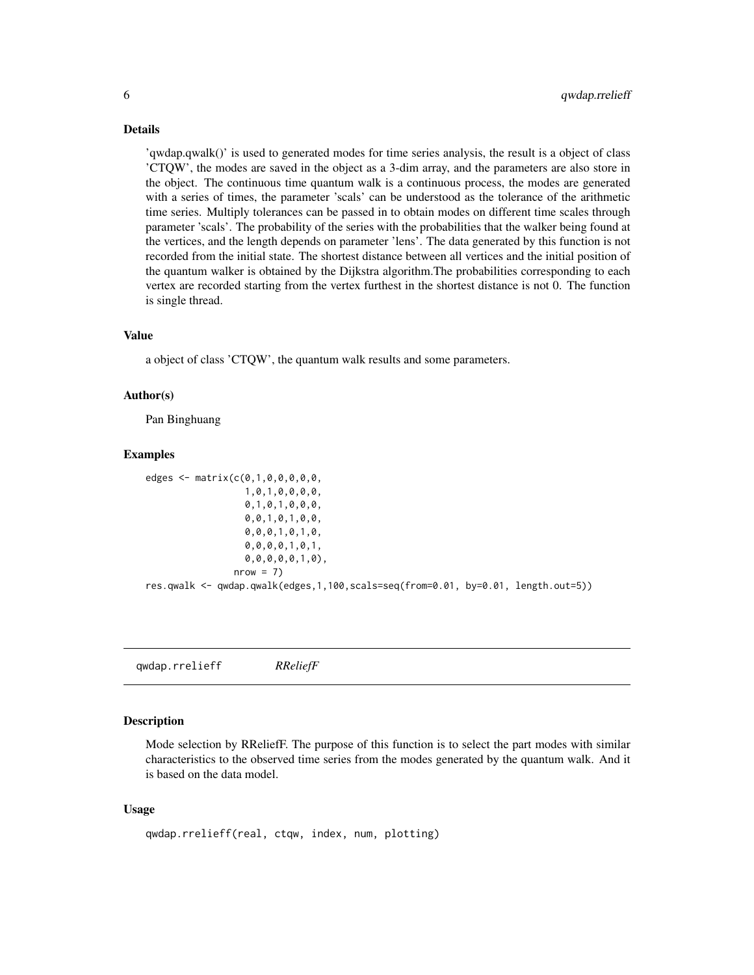#### <span id="page-5-0"></span>Details

'qwdap.qwalk()' is used to generated modes for time series analysis, the result is a object of class 'CTQW', the modes are saved in the object as a 3-dim array, and the parameters are also store in the object. The continuous time quantum walk is a continuous process, the modes are generated with a series of times, the parameter 'scals' can be understood as the tolerance of the arithmetic time series. Multiply tolerances can be passed in to obtain modes on different time scales through parameter 'scals'. The probability of the series with the probabilities that the walker being found at the vertices, and the length depends on parameter 'lens'. The data generated by this function is not recorded from the initial state. The shortest distance between all vertices and the initial position of the quantum walker is obtained by the Dijkstra algorithm.The probabilities corresponding to each vertex are recorded starting from the vertex furthest in the shortest distance is not 0. The function is single thread.

#### Value

a object of class 'CTQW', the quantum walk results and some parameters.

#### Author(s)

Pan Binghuang

#### Examples

```
edges <- matrix(c(0,1,0,0,0,0,0,
                  1,0,1,0,0,0,0,
                  0,1,0,1,0,0,0,
                  0,0,1,0,1,0,0,
                  0,0,0,1,0,1,0,
                  0,0,0,0,1,0,1,
                  0,0,0,0,0,1,0),
                nrow = 7res.qwalk <- qwdap.qwalk(edges,1,100,scals=seq(from=0.01, by=0.01, length.out=5))
```
qwdap.rrelieff *RReliefF*

#### **Description**

Mode selection by RReliefF. The purpose of this function is to select the part modes with similar characteristics to the observed time series from the modes generated by the quantum walk. And it is based on the data model.

#### Usage

```
qwdap.rrelieff(real, ctqw, index, num, plotting)
```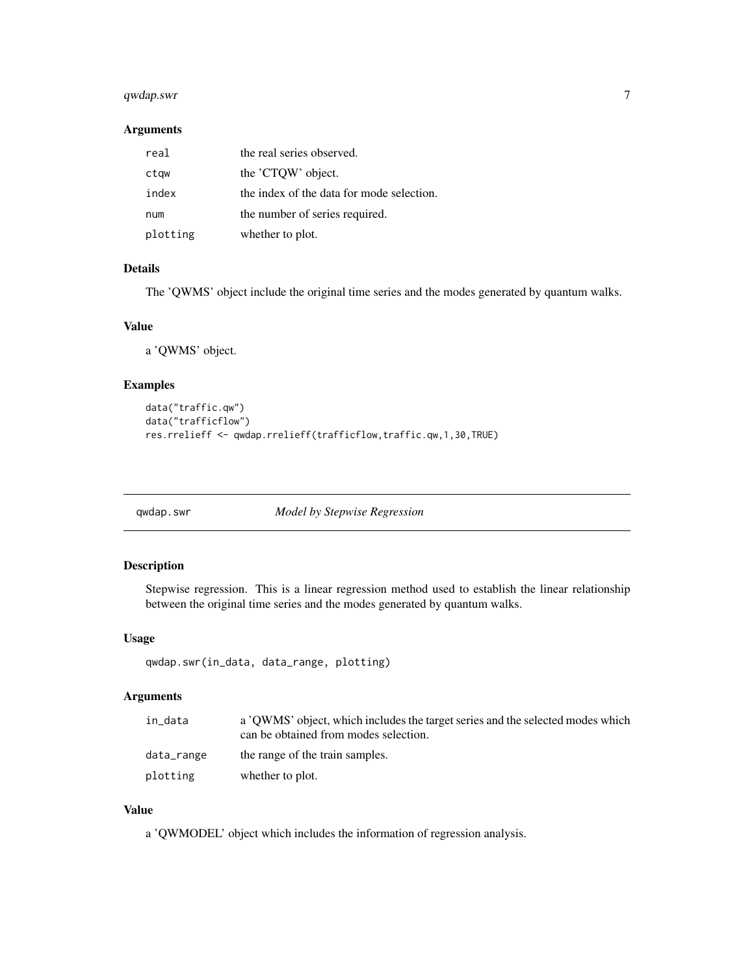### <span id="page-6-0"></span>qwdap.swr 7

#### Arguments

| real     | the real series observed.                 |
|----------|-------------------------------------------|
| ctqw     | the 'CTOW' object.                        |
| index    | the index of the data for mode selection. |
| num      | the number of series required.            |
| plotting | whether to plot.                          |

#### Details

The 'QWMS' object include the original time series and the modes generated by quantum walks.

#### Value

a 'QWMS' object.

#### Examples

```
data("traffic.qw")
data("trafficflow")
res.rrelieff <- qwdap.rrelieff(trafficflow,traffic.qw,1,30,TRUE)
```
qwdap.swr *Model by Stepwise Regression*

#### Description

Stepwise regression. This is a linear regression method used to establish the linear relationship between the original time series and the modes generated by quantum walks.

#### Usage

```
qwdap.swr(in_data, data_range, plotting)
```
#### Arguments

| in data    | a 'OWMS' object, which includes the target series and the selected modes which<br>can be obtained from modes selection. |
|------------|-------------------------------------------------------------------------------------------------------------------------|
| data_range | the range of the train samples.                                                                                         |
| plotting   | whether to plot.                                                                                                        |

#### Value

a 'QWMODEL' object which includes the information of regression analysis.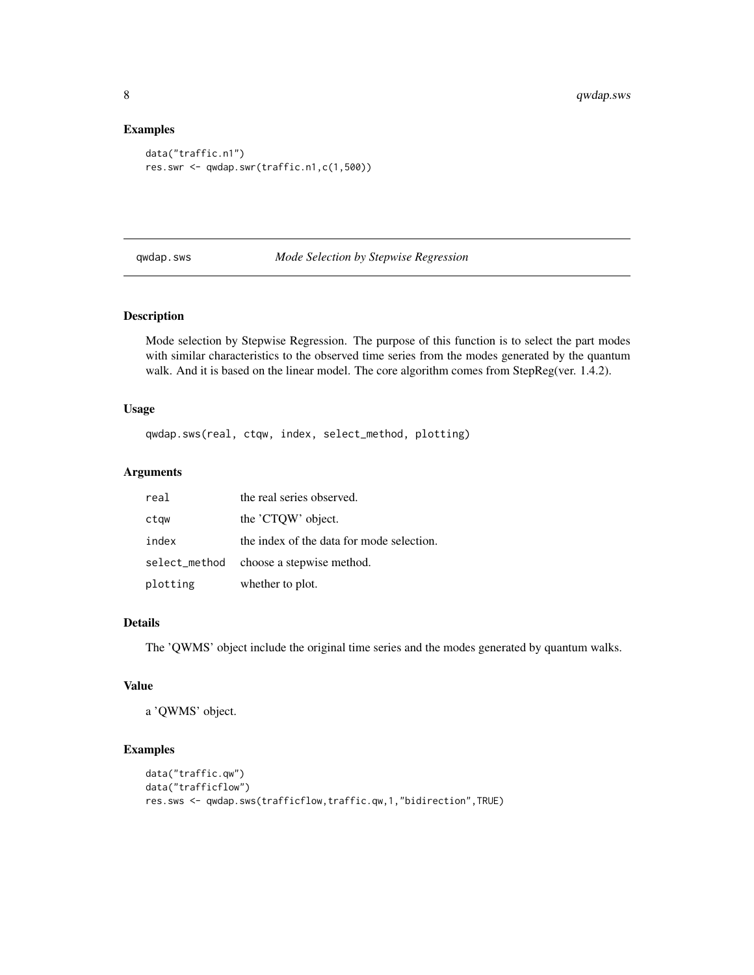#### Examples

```
data("traffic.n1")
res.swr <- qwdap.swr(traffic.n1,c(1,500))
```
qwdap.sws *Mode Selection by Stepwise Regression*

#### Description

Mode selection by Stepwise Regression. The purpose of this function is to select the part modes with similar characteristics to the observed time series from the modes generated by the quantum walk. And it is based on the linear model. The core algorithm comes from StepReg(ver. 1.4.2).

#### Usage

qwdap.sws(real, ctqw, index, select\_method, plotting)

#### Arguments

| real          | the real series observed.                 |
|---------------|-------------------------------------------|
| ctqw          | the 'CTQW' object.                        |
| index         | the index of the data for mode selection. |
| select_method | choose a stepwise method.                 |
| plotting      | whether to plot.                          |

#### Details

The 'QWMS' object include the original time series and the modes generated by quantum walks.

#### Value

a 'QWMS' object.

#### Examples

```
data("traffic.qw")
data("trafficflow")
res.sws <- qwdap.sws(trafficflow,traffic.qw,1,"bidirection",TRUE)
```
<span id="page-7-0"></span>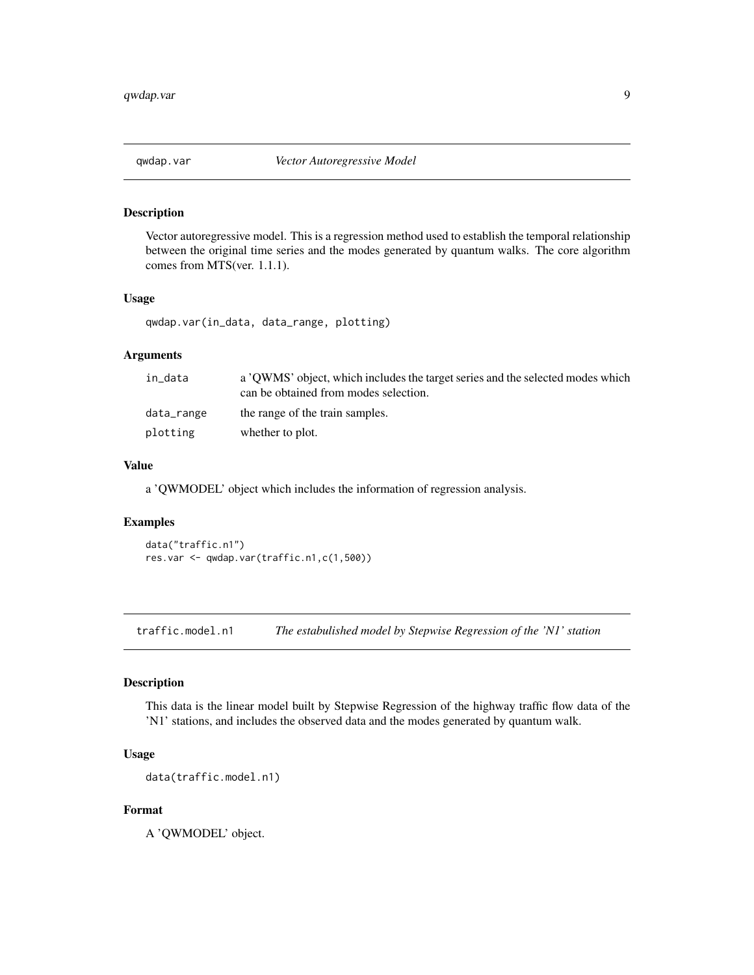<span id="page-8-0"></span>

#### Description

Vector autoregressive model. This is a regression method used to establish the temporal relationship between the original time series and the modes generated by quantum walks. The core algorithm comes from MTS(ver. 1.1.1).

#### Usage

qwdap.var(in\_data, data\_range, plotting)

#### Arguments

| in data    | a 'OWMS' object, which includes the target series and the selected modes which<br>can be obtained from modes selection. |
|------------|-------------------------------------------------------------------------------------------------------------------------|
| data_range | the range of the train samples.                                                                                         |
| plotting   | whether to plot.                                                                                                        |

#### Value

a 'QWMODEL' object which includes the information of regression analysis.

#### Examples

data("traffic.n1") res.var <- qwdap.var(traffic.n1,c(1,500))

traffic.model.n1 *The estabulished model by Stepwise Regression of the 'N1' station*

#### Description

This data is the linear model built by Stepwise Regression of the highway traffic flow data of the 'N1' stations, and includes the observed data and the modes generated by quantum walk.

#### Usage

data(traffic.model.n1)

#### Format

A 'QWMODEL' object.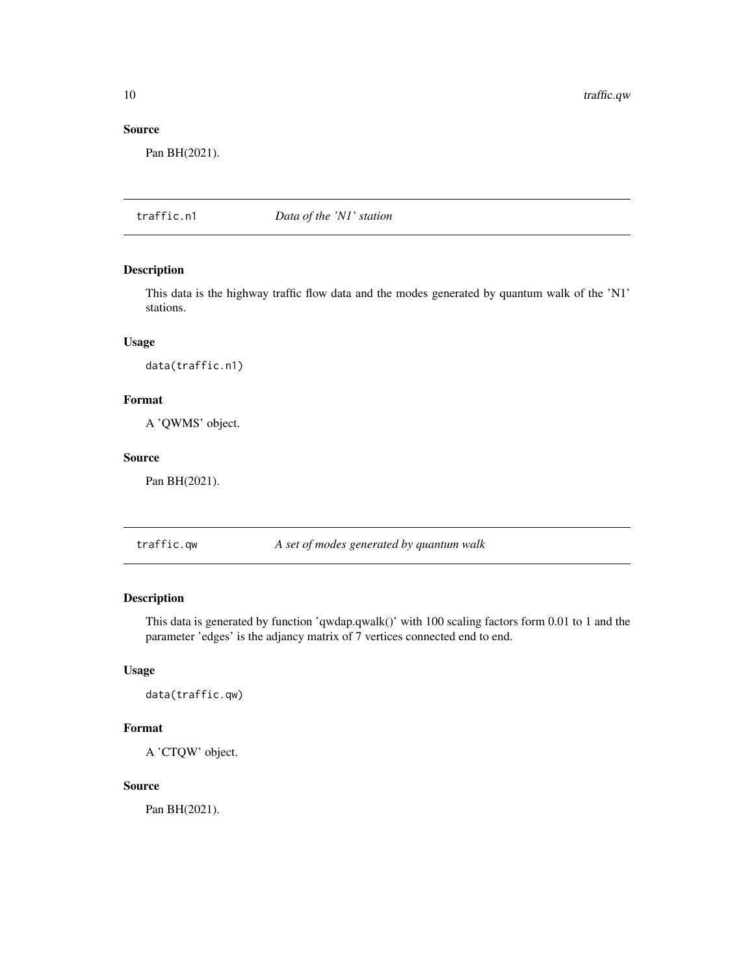<span id="page-9-0"></span>10 traffic.qw

#### Source

Pan BH(2021).

traffic.n1 *Data of the 'N1' station*

#### Description

This data is the highway traffic flow data and the modes generated by quantum walk of the 'N1' stations.

#### Usage

data(traffic.n1)

#### Format

A 'QWMS' object.

#### Source

Pan BH(2021).

traffic.qw *A set of modes generated by quantum walk*

#### Description

This data is generated by function 'qwdap.qwalk()' with 100 scaling factors form 0.01 to 1 and the parameter 'edges' is the adjancy matrix of 7 vertices connected end to end.

#### Usage

data(traffic.qw)

#### Format

A 'CTQW' object.

#### Source

Pan BH(2021).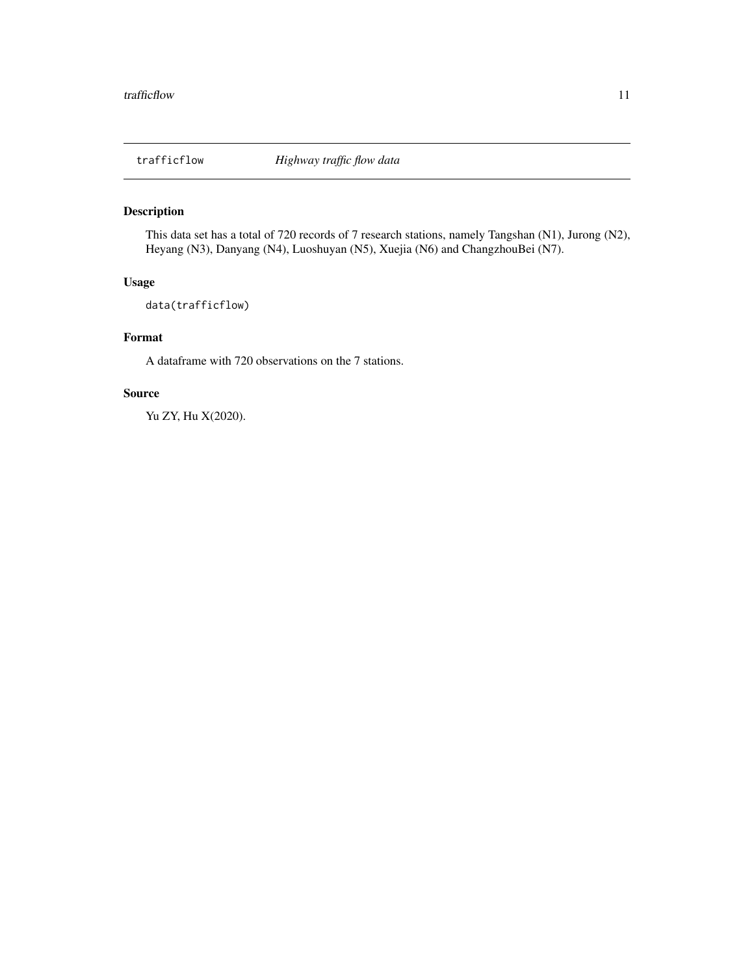<span id="page-10-0"></span>

#### Description

This data set has a total of 720 records of 7 research stations, namely Tangshan (N1), Jurong (N2), Heyang (N3), Danyang (N4), Luoshuyan (N5), Xuejia (N6) and ChangzhouBei (N7).

### Usage

data(trafficflow)

#### Format

A dataframe with 720 observations on the 7 stations.

#### Source

Yu ZY, Hu X(2020).